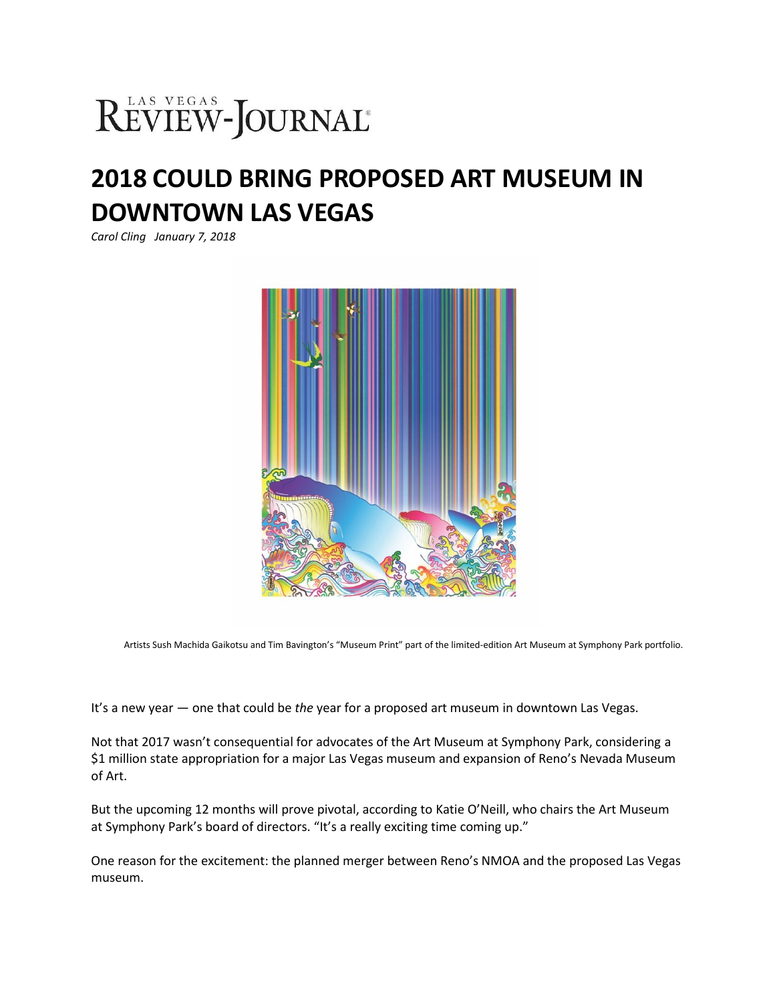## REVIEW-JOURNAL®

## **2018 COULD BRING PROPOSED ART MUSEUM IN DOWNTOWN LAS VEGAS**

*Carol Cling January 7, 2018*



Artists Sush Machida Gaikotsu and Tim Bavington's "Museum Print" part of the limited-edition Art Museum at Symphony Park portfolio.

It's a new year — one that could be *the* year for a proposed art museum in downtown Las Vegas.

Not that 2017 wasn't consequential for advocates of the Art Museum at Symphony Park, considering a \$1 million state appropriation for a major Las Vegas museum and expansion of Reno's Nevada Museum of Art.

But the upcoming 12 months will prove pivotal, according to Katie O'Neill, who chairs the Art Museum at Symphony Park's board of directors. "It's a really exciting time coming up."

One reason for the excitement: the planned merger between Reno's NMOA and the proposed Las Vegas museum.